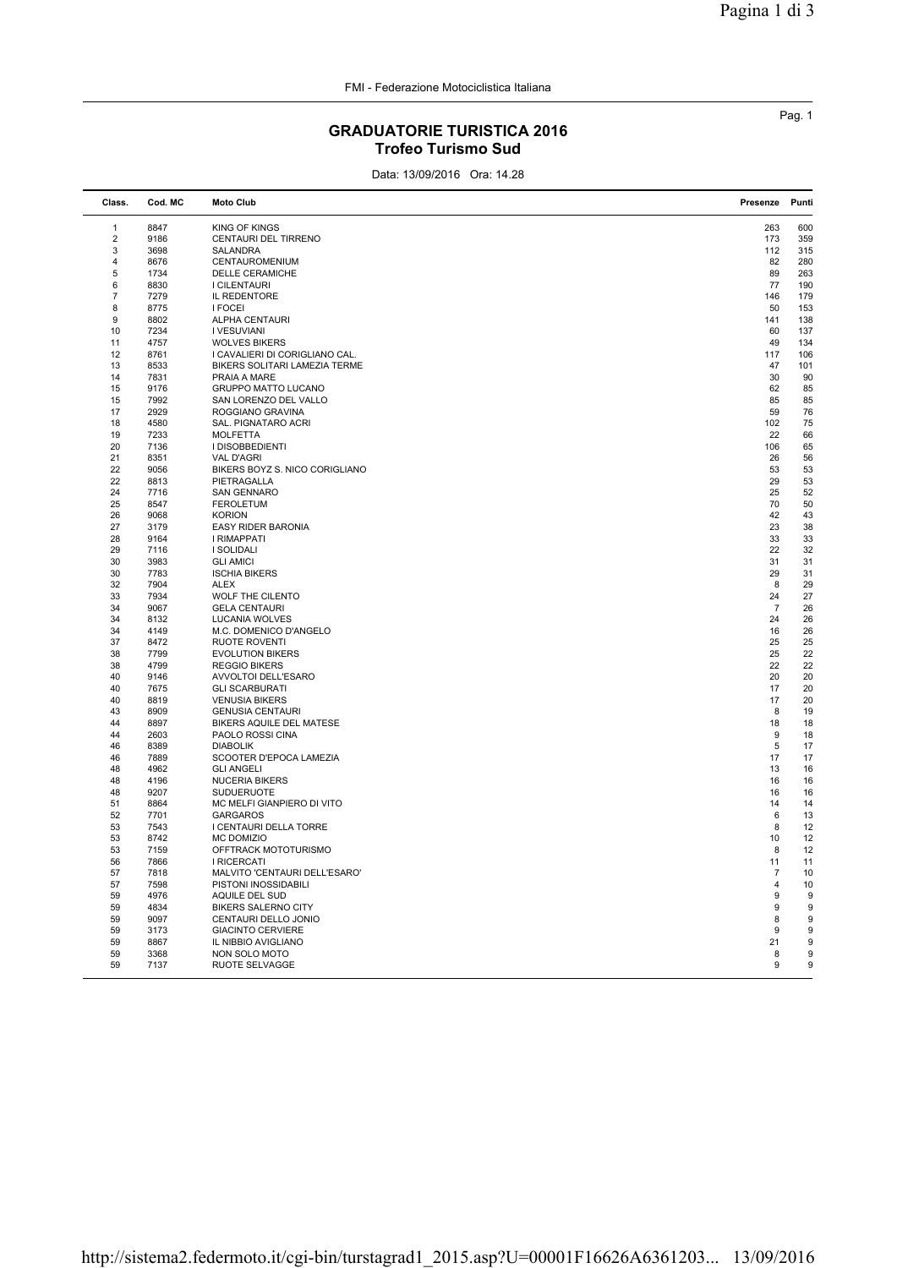## GRADUATORIE TURISTICA 2016 Trofeo Turismo Sud

Data: 13/09/2016 Ora: 14.28

| Class.   | Cod. MC      | <b>Moto Club</b>                                   | Presenze       | Punti            |
|----------|--------------|----------------------------------------------------|----------------|------------------|
| 1        | 8847         | <b>KING OF KINGS</b>                               | 263            | 600              |
| 2        | 9186         | CENTAURI DEL TIRRENO                               | 173            | 359              |
| 3        | 3698         | SALANDRA                                           | 112            | 315              |
| 4        | 8676         | CENTAUROMENIUM                                     | 82             | 280              |
| 5        | 1734         | <b>DELLE CERAMICHE</b>                             | 89             | 263              |
| 6        | 8830         | I CILENTAURI                                       | 77             | 190              |
| 7        | 7279         | IL REDENTORE                                       | 146            | 179              |
| 8        | 8775         | <b>I FOCEI</b>                                     | 50             | 153              |
| 9        | 8802         | <b>ALPHA CENTAURI</b>                              | 141            | 138              |
| 10       | 7234         | I VESUVIANI                                        | 60             | 137              |
| 11       | 4757         | <b>WOLVES BIKERS</b>                               | 49             | 134              |
| 12       | 8761         | I CAVALIERI DI CORIGLIANO CAL.                     | 117            | 106              |
| 13       | 8533         | BIKERS SOLITARI LAMEZIA TERME                      | 47             | 101              |
| 14       | 7831         | PRAIA A MARE                                       | 30             | 90               |
| 15<br>15 | 9176<br>7992 | GRUPPO MATTO LUCANO<br>SAN LORENZO DEL VALLO       | 62<br>85       | 85<br>85         |
| 17       | 2929         | ROGGIANO GRAVINA                                   | 59             | 76               |
| 18       | 4580         | SAL. PIGNATARO ACRI                                | 102            | 75               |
| 19       | 7233         | <b>MOLFETTA</b>                                    | 22             | 66               |
| 20       | 7136         | I DISOBBEDIENTI                                    | 106            | 65               |
| 21       | 8351         | <b>VAL D'AGRI</b>                                  | 26             | 56               |
| 22       | 9056         | BIKERS BOYZ S. NICO CORIGLIANO                     | 53             | 53               |
| 22       | 8813         | PIETRAGALLA                                        | 29             | 53               |
| 24       | 7716         | <b>SAN GENNARO</b>                                 | 25             | 52               |
| 25       | 8547         | <b>FEROLETUM</b>                                   | 70             | 50               |
| 26       | 9068         | <b>KORION</b>                                      | 42             | 43               |
| 27       | 3179         | <b>EASY RIDER BARONIA</b>                          | 23             | 38               |
| 28       | 9164         | I RIMAPPATI                                        | 33             | 33               |
| 29       | 7116         | <b>I SOLIDALI</b>                                  | 22             | 32               |
| 30       | 3983         | <b>GLI AMICI</b>                                   | 31             | 31               |
| 30       | 7783         | <b>ISCHIA BIKERS</b>                               | 29             | 31               |
| 32       | 7904         | <b>ALEX</b>                                        | 8              | 29               |
| 33       | 7934         | WOLF THE CILENTO                                   | 24             | 27               |
| 34       | 9067         | <b>GELA CENTAURI</b>                               | $\overline{7}$ | 26               |
| 34       | 8132         | LUCANIA WOLVES                                     | 24             | 26               |
| 34       | 4149         | M.C. DOMENICO D'ANGELO                             | 16             | 26               |
| 37       | 8472         | <b>RUOTE ROVENTI</b>                               | 25             | 25<br>22         |
| 38       | 7799         | <b>EVOLUTION BIKERS</b>                            | 25             |                  |
| 38<br>40 | 4799<br>9146 | <b>REGGIO BIKERS</b><br>AVVOLTOI DELL'ESARO        | 22<br>20       | 22<br>20         |
| 40       | 7675         | <b>GLI SCARBURATI</b>                              | 17             | 20               |
| 40       | 8819         | <b>VENUSIA BIKERS</b>                              | 17             | 20               |
| 43       | 8909         | <b>GENUSIA CENTAURI</b>                            | 8              | 19               |
| 44       | 8897         | BIKERS AQUILE DEL MATESE                           | 18             | 18               |
| 44       | 2603         | <b>PAOLO ROSSI CINA</b>                            | 9              | 18               |
| 46       | 8389         | <b>DIABOLIK</b>                                    | 5              | 17               |
| 46       | 7889         | SCOOTER D'EPOCA LAMEZIA                            | 17             | 17               |
| 48       | 4962         | <b>GLI ANGELI</b>                                  | 13             | 16               |
| 48       | 4196         | <b>NUCERIA BIKERS</b>                              | 16             | 16               |
| 48       | 9207         | <b>SUDUERUOTE</b>                                  | 16             | 16               |
| 51       | 8864         | MC MELFI GIANPIERO DI VITO                         | 14             | 14               |
| 52       | 7701         | <b>GARGAROS</b>                                    | 6              | 13               |
| 53       | 7543         | I CENTAURI DELLA TORRE                             | 8              | 12               |
| 53       | 8742         | MC DOMIZIO                                         | 10             | 12               |
| 53       | 7159         | OFFTRACK MOTOTURISMO                               | 8              | 12               |
| 56       | 7866         | I RICERCATI                                        | 11             | 11               |
| 57       | 7818         | MALVITO 'CENTAURI DELL'ESARO'                      | $\overline{7}$ | 10               |
| 57       | 7598         | PISTONI INOSSIDABILI                               | $\overline{4}$ | 10               |
| 59<br>59 | 4976         | AQUILE DEL SUD                                     | 9<br>9         | 9<br>9           |
| 59       | 4834<br>9097 | <b>BIKERS SALERNO CITY</b><br>CENTAURI DELLO JONIO | 8              | 9                |
| 59       | 3173         | <b>GIACINTO CERVIERE</b>                           | 9              | 9                |
| 59       | 8867         | IL NIBBIO AVIGLIANO                                | 21             | 9                |
| 59       | 3368         | NON SOLO MOTO                                      | 8              | $\boldsymbol{9}$ |
| 59       | 7137         | RUOTE SELVAGGE                                     | 9              | 9                |
|          |              |                                                    |                |                  |

Pag. 1